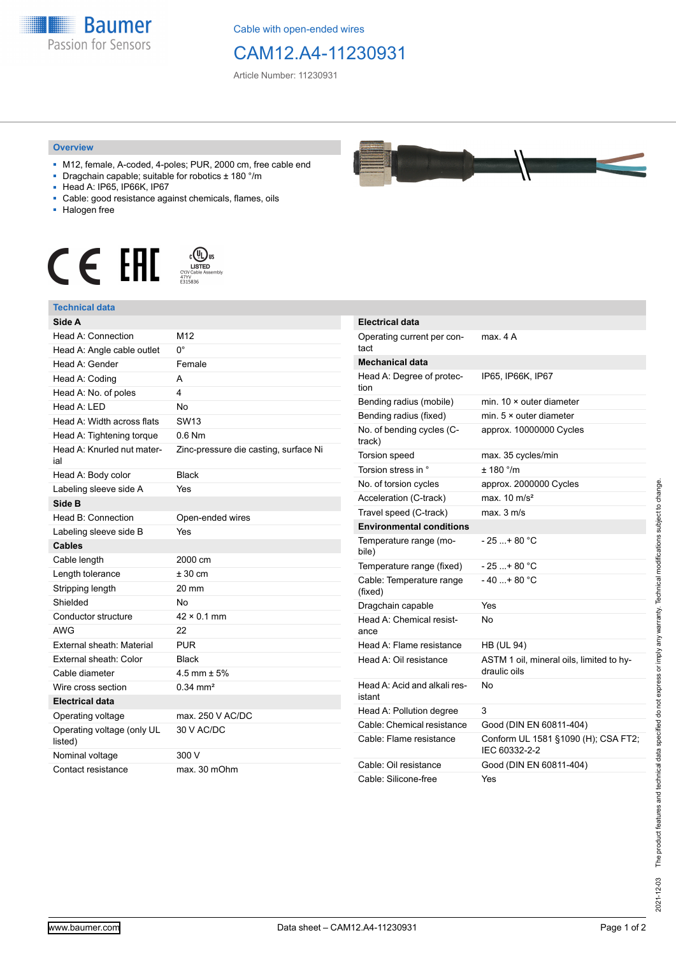

Cable with open-ended wires

## CAM12.A4-11230931

Article Number: 11230931

## **Overview**

- M12, female, A-coded, 4-poles; PUR, 2000 cm, free cable end
- Dragchain capable; suitable for robotics ± 180 °/m
- Head A: IP65, IP66K, IP67
- Cable: good resistance against chemicals, flames, oils
- Halogen free





| Side A                                |                                       |
|---------------------------------------|---------------------------------------|
| Head A: Connection                    | M12                                   |
| Head A: Angle cable outlet            | 0°                                    |
| Head A: Gender                        | Female                                |
| Head A: Coding                        | A                                     |
| Head A: No. of poles                  | 4                                     |
| Head $A \cdot IFD$                    | No                                    |
| Head A: Width across flats            | SW <sub>13</sub>                      |
| Head A: Tightening torque             | $0.6$ Nm                              |
| Head A: Knurled nut mater-<br>ial     | Zinc-pressure die casting, surface Ni |
| Head A: Body color                    | <b>Black</b>                          |
| Labeling sleeve side A                | Yes                                   |
| Side B                                |                                       |
| Head B: Connection                    | Open-ended wires                      |
| Labeling sleeve side B                | Yes                                   |
| <b>Cables</b>                         |                                       |
| Cable length                          | 2000 cm                               |
| Length tolerance                      | ± 30 cm                               |
| Stripping length                      | 20 mm                                 |
| Shielded                              | No                                    |
| Conductor structure                   | $42 \times 0.1$ mm                    |
| AWG                                   | 22                                    |
| External sheath: Material             | <b>PUR</b>                            |
| External sheath: Color                | <b>Black</b>                          |
| Cable diameter                        | $4.5$ mm $\pm 5%$                     |
| Wire cross section                    | $0.34 \text{ mm}^2$                   |
| <b>Electrical data</b>                |                                       |
| Operating voltage                     | max. 250 V AC/DC                      |
| Operating voltage (only UL<br>listed) | 30 V AC/DC                            |
| Nominal voltage                       | 300 V                                 |
| Contact resistance                    | max. 30 mOhm                          |

| <b>Electrical data</b>                 |                                                          |
|----------------------------------------|----------------------------------------------------------|
| Operating current per con-<br>tact     | max. 4 A                                                 |
| <b>Mechanical data</b>                 |                                                          |
| Head A: Degree of protec-<br>tion      | IP65, IP66K, IP67                                        |
| Bending radius (mobile)                | min. 10 × outer diameter                                 |
| Bending radius (fixed)                 | min. 5 × outer diameter                                  |
| No. of bending cycles (C-<br>track)    | approx. 10000000 Cycles                                  |
| Torsion speed                          | max. 35 cycles/min                                       |
| Torsion stress in °                    | ± 180 °/m                                                |
| No. of torsion cycles                  | approx. 2000000 Cycles                                   |
| Acceleration (C-track)                 | max. $10 \text{ m/s}^2$                                  |
| Travel speed (C-track)                 | max. 3 m/s                                               |
| <b>Environmental conditions</b>        |                                                          |
| Temperature range (mo-<br>bile)        | $-25 + 80 °C$                                            |
| Temperature range (fixed)              | - 25 +80 °C                                              |
| Cable: Temperature range<br>(fixed)    | $-40+80 °C$                                              |
| Dragchain capable                      | Yes                                                      |
| Head A: Chemical resist-<br>ance       | N٥                                                       |
| Head A: Flame resistance               | <b>HB (UL 94)</b>                                        |
| Head A: Oil resistance                 | ASTM 1 oil, mineral oils, limited to hy-<br>draulic oils |
| Head A: Acid and alkali res-<br>istant | No                                                       |
| Head A: Pollution degree               | 3                                                        |
| Cable: Chemical resistance             | Good (DIN EN 60811-404)                                  |
| Cable: Flame resistance                | Conform UL 1581 §1090 (H); CSA FT2;<br>IEC 60332-2-2     |
| Cable: Oil resistance                  | Good (DIN EN 60811-404)                                  |
| Cable: Silicone-free                   | Yes                                                      |